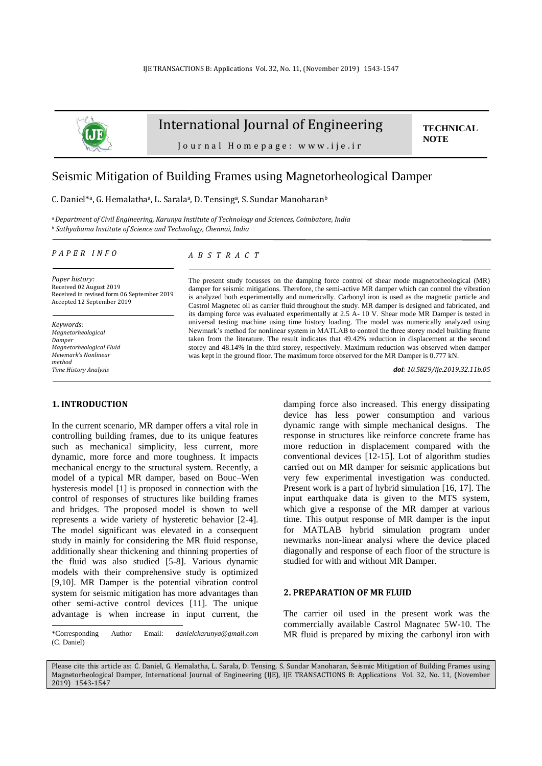

## International Journal of Engineering

**TECHNICAL NOTE**

Journal Homepage: www.ije.ir

# Seismic Mitigation of Building Frames using Magnetorheological Damper

C. Daniel\*a, G. Hemalathaa, L. Saralaa, D. Tensinga, S. Sundar Manoharanb

*<sup>a</sup>Department of Civil Engineering, Karunya Institute of Technology and Sciences, Coimbatore, India <sup>b</sup> Sathyabama Institute of Science and Technology, Chennai, India*

*P A P E R I N F O*

*A B S T R A C T*

*Paper history:* Received 02 August 2019 Received in revised form 06 September 2019 Accepted 12 September 2019

*Keywords*: *Magnetorheological Damper Magnetorheological Fluid Mewmark's Nonlinear method Time History Analysis*

## **1. INTRODUCTION<sup>1</sup>**

In the current scenario, MR damper offers a vital role in controlling building frames, due to its unique features such as mechanical simplicity, less current, more dynamic, more force and more toughness. It impacts mechanical energy to the structural system. Recently, a model of a typical MR damper, based on Bouc–Wen hysteresis model [1] is proposed in connection with the control of responses of structures like building frames and bridges. The proposed model is shown to well represents a wide variety of hysteretic behavior [2-4]. The model significant was elevated in a consequent study in mainly for considering the MR fluid response, additionally shear thickening and thinning properties of the fluid was also studied [5-8]. Various dynamic models with their comprehensive study is optimized [9,10]. MR Damper is the potential vibration control system for seismic mitigation has more advantages than other semi-active control devices [11]. The unique advantage is when increase in input current, the

The present study focusses on the damping force control of shear mode magnetorheological (MR) damper for seismic mitigations. Therefore, the semi-active MR damper which can control the vibration is analyzed both experimentally and numerically. Carbonyl iron is used as the magnetic particle and Castrol Magnetec oil as carrier fluid throughout the study. MR damper is designed and fabricated, and its damping force was evaluated experimentally at 2.5 A- 10 V. Shear mode MR Damper is tested in universal testing machine using time history loading. The model was numerically analyzed using Newmark's method for nonlinear system in MATLAB to control the three storey model building frame taken from the literature. The result indicates that 49.42% reduction in displacement at the second storey and 48.14% in the third storey, respectively. Maximum reduction was observed when damper was kept in the ground floor. The maximum force observed for the MR Damper is 0.777 kN.

*doi: 10.5829/ije.2019.32.11b.05*

damping force also increased. This energy dissipating device has less power consumption and various dynamic range with simple mechanical designs. The response in structures like reinforce concrete frame has more reduction in displacement compared with the conventional devices [12-15]. Lot of algorithm studies carried out on MR damper for seismic applications but very few experimental investigation was conducted. Present work is a part of hybrid simulation [16, 17]. The input earthquake data is given to the MTS system, which give a response of the MR damper at various time. This output response of MR damper is the input for MATLAB hybrid simulation program under newmarks non-linear analysi where the device placed diagonally and response of each floor of the structure is studied for with and without MR Damper.

## **2. PREPARATION OF MR FLUID**

The carrier oil used in the present work was the commercially available Castrol Magnatec 5W-10. The MR fluid is prepared by mixing the carbonyl iron with

Please cite this article as: C. Daniel, G. Hemalatha, L. Sarala, D. Tensing, S. Sundar Manoharan, Seismic Mitigation of Building Frames using Magnetorheological Damper, International Journal of Engineering (IJE), IJE TRANSACTIONS B: Applications Vol. 32, No. 11, (November 2019) 1543-1547

<sup>\*</sup>Corresponding Author Email: *[danielckarunya@gmail.com](mailto:danielckarunya@gmail.com)* (C. Daniel)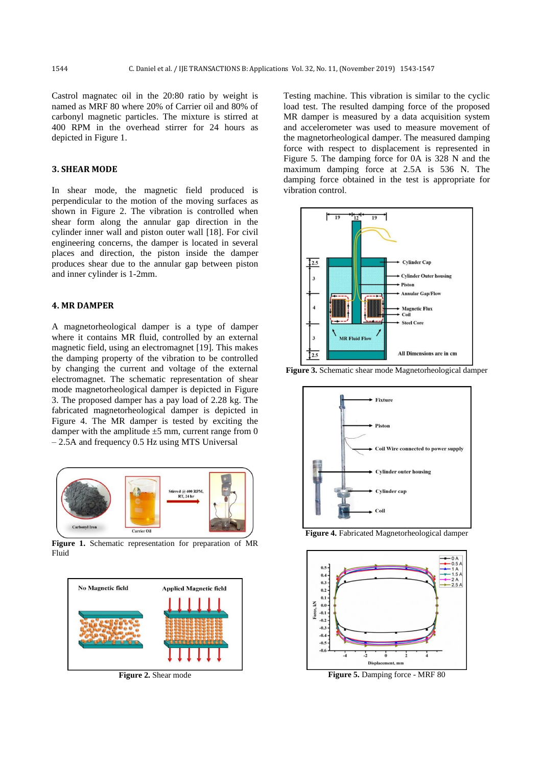Castrol magnatec oil in the 20:80 ratio by weight is named as MRF 80 where 20% of Carrier oil and 80% of carbonyl magnetic particles. The mixture is stirred at 400 RPM in the overhead stirrer for 24 hours as depicted in Figure 1.

## **3. SHEAR MODE**

In shear mode, the magnetic field produced is perpendicular to the motion of the moving surfaces as shown in Figure 2. The vibration is controlled when shear form along the annular gap direction in the cylinder inner wall and piston outer wall [18]. For civil engineering concerns, the damper is located in several places and direction, the piston inside the damper produces shear due to the annular gap between piston and inner cylinder is 1-2mm.

## **4. MR DAMPER**

A magnetorheological damper is a type of damper where it contains MR fluid, controlled by an external magnetic field, using an electromagnet [19]. This makes the damping property of the vibration to be controlled by changing the current and voltage of the external electromagnet. The schematic representation of shear mode magnetorheological damper is depicted in Figure 3. The proposed damper has a pay load of 2.28 kg. The fabricated magnetorheological damper is depicted in Figure 4. The MR damper is tested by exciting the damper with the amplitude  $\pm 5$  mm, current range from 0 – 2.5A and frequency 0.5 Hz using MTS Universal



**Figure 1.** Schematic representation for preparation of MR Fluid



**Figure 2.** Shear mode

Testing machine. This vibration is similar to the cyclic load test. The resulted damping force of the proposed MR damper is measured by a data acquisition system and accelerometer was used to measure movement of the magnetorheological damper. The measured damping force with respect to displacement is represented in Figure 5. The damping force for 0A is 328 N and the maximum damping force at 2.5A is 536 N. The damping force obtained in the test is appropriate for vibration control.





**Figure 3.** Schematic shear mode Magnetorheological damper

**Figure 4.** Fabricated Magnetorheological damper



**Figure 5.** Damping force - MRF 80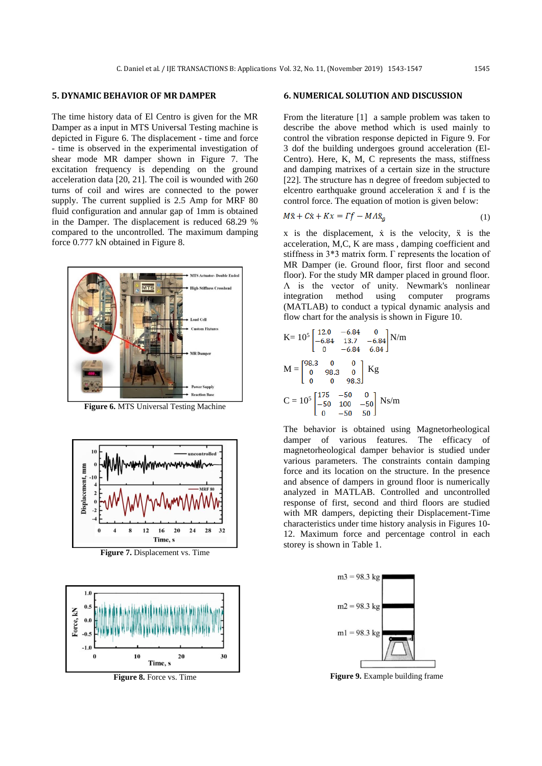## **5. DYNAMIC BEHAVIOR OF MR DAMPER**

The time history data of El Centro is given for the MR Damper as a input in MTS Universal Testing machine is depicted in Figure 6. The displacement - time and force - time is observed in the experimental investigation of shear mode MR damper shown in Figure 7. The excitation frequency is depending on the ground acceleration data [20, 21]. The coil is wounded with 260 turns of coil and wires are connected to the power supply. The current supplied is 2.5 Amp for MRF 80 fluid configuration and annular gap of 1mm is obtained in the Damper. The displacement is reduced 68.29 % compared to the uncontrolled. The maximum damping force 0.777 kN obtained in Figure 8.



**Figure 6.** MTS Universal Testing Machine



**Figure 7.** Displacement vs. Time



**Figure 8.** Force vs. Time

## **6. NUMERICAL SOLUTION AND DISCUSSION**

From the literature [1] a sample problem was taken to describe the above method which is used mainly to control the vibration response depicted in Figure 9. For 3 dof the building undergoes ground acceleration (El-Centro). Here, K, M, C represents the mass, stiffness and damping matrixes of a certain size in the structure [22]. The structure has n degree of freedom subjected to elcentro earthquake ground acceleration ẍ and f is the control force. The equation of motion is given below:

$$
M\ddot{x} + C\dot{x} + Kx = \Gamma f - M\Lambda \ddot{x}_g \tag{1}
$$

 $x$  is the displacement,  $\dot{x}$  is the velocity,  $\ddot{x}$  is the acceleration, M,C, K are mass , damping coefficient and stiffness in 3\*3 matrix form. Γ represents the location of MR Damper (ie. Ground floor, first floor and second floor). For the study MR damper placed in ground floor. Λ is the vector of unity. Newmark's nonlinear integration method using computer programs (MATLAB) to conduct a typical dynamic analysis and flow chart for the analysis is shown in Figure 10.

$$
K = 105 \begin{bmatrix} 12.0 & -6.84 & 0 \\ -6.84 & 13.7 & -6.84 \\ 0 & -6.84 & 6.84 \end{bmatrix} N/m
$$

$$
M = \begin{bmatrix} 98.3 & 0 & 0 \\ 0 & 98.3 & 0 \\ 0 & 0 & 98.3 \end{bmatrix} Kg
$$

$$
C = 105 \begin{bmatrix} 175 & -50 & 0 \\ -50 & 100 & -50 \\ 0 & -50 & 50 \end{bmatrix} Ns/m
$$

The behavior is obtained using Magnetorheological damper of various features. The efficacy of magnetorheological damper behavior is studied under various parameters. The constraints contain damping force and its location on the structure. In the presence and absence of dampers in ground floor is numerically analyzed in MATLAB. Controlled and uncontrolled response of first, second and third floors are studied with MR dampers, depicting their Displacement-Time characteristics under time history analysis in Figures 10- 12. Maximum force and percentage control in each storey is shown in Table 1.



**Figure 9.** Example building frame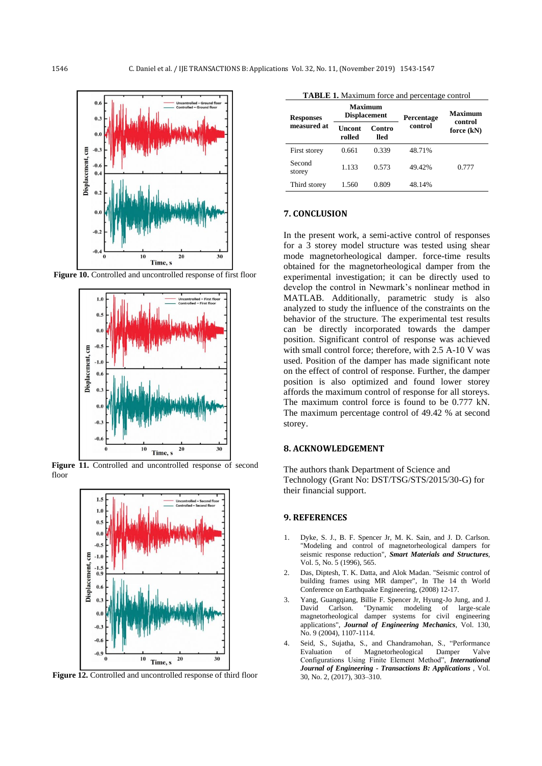

**Figure 10.** Controlled and uncontrolled response of first floor



**Figure 11.** Controlled and uncontrolled response of second floor



**Figure 12.** Controlled and uncontrolled response of third floor

|                         | <b>TABLE 1.</b> Maximum force and percentage control |
|-------------------------|------------------------------------------------------|
| $M = 2 - 2 - 3 - 3 - 3$ |                                                      |

| <b>Responses</b><br>measured at | Maximum<br><b>Displacement</b> |                | Percentage | Maximum<br>control |
|---------------------------------|--------------------------------|----------------|------------|--------------------|
|                                 | Uncont<br>rolled               | Contro<br>lled | control    | force $(kN)$       |
| First storey                    | 0.661                          | 0.339          | 48.71%     |                    |
| Second<br>storey                | 1.133                          | 0.573          | 49.42%     | 0.777              |
| Third storey                    | 1.560                          | 0.809          | 48.14%     |                    |

#### **7. CONCLUSION**

In the present work, a semi-active control of responses for a 3 storey model structure was tested using shear mode magnetorheological damper. force-time results obtained for the magnetorheological damper from the experimental investigation; it can be directly used to develop the control in Newmark's nonlinear method in MATLAB. Additionally, parametric study is also analyzed to study the influence of the constraints on the behavior of the structure. The experimental test results can be directly incorporated towards the damper position. Significant control of response was achieved with small control force; therefore, with 2.5 A-10 V was used. Position of the damper has made significant note on the effect of control of response. Further, the damper position is also optimized and found lower storey affords the maximum control of response for all storeys. The maximum control force is found to be 0.777 kN. The maximum percentage control of 49.42 % at second storey.

## **8. ACKNOWLEDGEMENT**

The authors thank Department of Science and Technology (Grant No: DST/TSG/STS/2015/30-G) for their financial support.

#### **9. REFERENCES**

- 1. Dyke, S. J., B. F. Spencer Jr, M. K. Sain, and J. D. Carlson. "Modeling and control of magnetorheological dampers for seismic response reduction", *Smart Materials and Structures*, Vol. 5, No. 5 (1996), 565.
- 2. Das, Diptesh, T. K. Datta, and Alok Madan. "Seismic control of building frames using MR damper", In The 14 th World Conference on Earthquake Engineering, (2008) 12-17.
- 3. Yang, Guangqiang, Billie F. Spencer Jr, Hyung-Jo Jung, and J. David Carlson. "Dynamic modeling of large-scale magnetorheological damper systems for civil engineering applications", *Journal of Engineering Mechanics*, Vol. 130, No. 9 (2004), 1107-1114.
- 4. Seid, S., Sujatha, S., and Chandramohan, S., "Performance Magnetorheological Damper Valve Configurations Using Finite Element Method", *International Journal of Engineering - Transactions B: Applications* , Vol. 30, No. 2, (2017), 303–310.